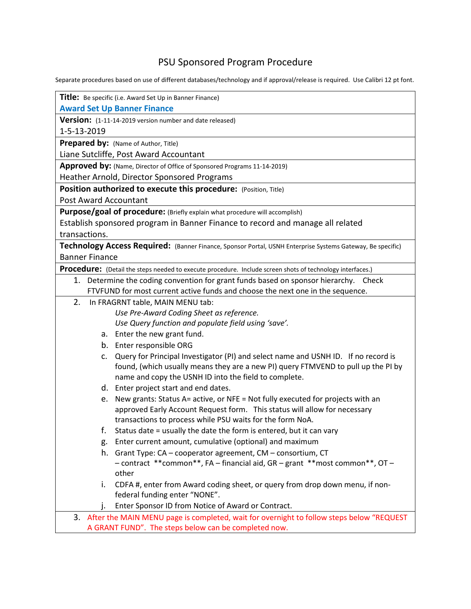## PSU Sponsored Program Procedure

Separate procedures based on use of different databases/technology and if approval/release is required. Use Calibri 12 pt font.

| Title: Be specific (i.e. Award Set Up in Banner Finance)                                                   |
|------------------------------------------------------------------------------------------------------------|
| <b>Award Set Up Banner Finance</b>                                                                         |
| Version: (1-11-14-2019 version number and date released)                                                   |
| 1-5-13-2019                                                                                                |
| Prepared by: (Name of Author, Title)                                                                       |
| Liane Sutcliffe, Post Award Accountant                                                                     |
| Approved by: (Name, Director of Office of Sponsored Programs 11-14-2019)                                   |
| Heather Arnold, Director Sponsored Programs                                                                |
| Position authorized to execute this procedure: (Position, Title)                                           |
| Post Award Accountant                                                                                      |
| Purpose/goal of procedure: (Briefly explain what procedure will accomplish)                                |
| Establish sponsored program in Banner Finance to record and manage all related                             |
| transactions.                                                                                              |
| Technology Access Required: (Banner Finance, Sponsor Portal, USNH Enterprise Systems Gateway, Be specific) |
| <b>Banner Finance</b>                                                                                      |
| Procedure: (Detail the steps needed to execute procedure. Include screen shots of technology interfaces.)  |
| 1. Determine the coding convention for grant funds based on sponsor hierarchy. Check                       |
| FTVFUND for most current active funds and choose the next one in the sequence.                             |
| In FRAGRNT table, MAIN MENU tab:<br>2.                                                                     |
| Use Pre-Award Coding Sheet as reference.                                                                   |
| Use Query function and populate field using 'save'.                                                        |
| a. Enter the new grant fund.                                                                               |
| b. Enter responsible ORG                                                                                   |
| Query for Principal Investigator (PI) and select name and USNH ID. If no record is<br>C.                   |
| found, (which usually means they are a new PI) query FTMVEND to pull up the PI by                          |
| name and copy the USNH ID into the field to complete.                                                      |
| d. Enter project start and end dates.                                                                      |
| New grants: Status A= active, or NFE = Not fully executed for projects with an<br>e.                       |
| approved Early Account Request form. This status will allow for necessary                                  |
| transactions to process while PSU waits for the form NoA.                                                  |
| Status date = usually the date the form is entered, but it can vary                                        |
| Enter current amount, cumulative (optional) and maximum<br>g.                                              |
| h.<br>Grant Type: CA - cooperator agreement, CM - consortium, CT                                           |
| - contract ** common**, FA - financial aid, GR - grant ** most common**, OT -                              |
| other                                                                                                      |
| CDFA #, enter from Award coding sheet, or query from drop down menu, if non-<br>i.                         |
| federal funding enter "NONE".                                                                              |
| Enter Sponsor ID from Notice of Award or Contract.<br>ı.                                                   |
| 3. After the MAIN MENU page is completed, wait for overnight to follow steps below "REQUEST                |
| A GRANT FUND". The steps below can be completed now.                                                       |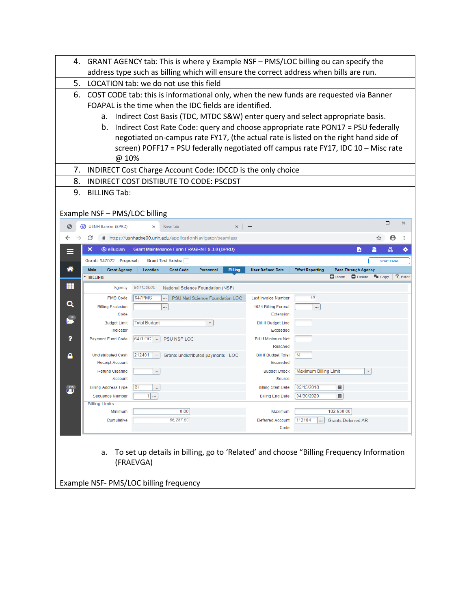| 4.             |                                       | GRANT AGENCY tab: This is where y Example NSF - PMS/LOC billing ou can specify the<br>address type such as billing which will ensure the correct address when bills are run. |                                        |                                                                              |
|----------------|---------------------------------------|------------------------------------------------------------------------------------------------------------------------------------------------------------------------------|----------------------------------------|------------------------------------------------------------------------------|
| 5.             |                                       | LOCATION tab: we do not use this field                                                                                                                                       |                                        |                                                                              |
| 6.             |                                       |                                                                                                                                                                              |                                        |                                                                              |
|                |                                       | COST CODE tab: this is informational only, when the new funds are requested via Banner<br>FOAPAL is the time when the IDC fields are identified.                             |                                        |                                                                              |
|                |                                       |                                                                                                                                                                              |                                        |                                                                              |
|                | а.                                    | Indirect Cost Basis (TDC, MTDC S&W) enter query and select appropriate basis.                                                                                                |                                        |                                                                              |
|                | b.                                    | Indirect Cost Rate Code: query and choose appropriate rate PON17 = PSU federally                                                                                             |                                        |                                                                              |
|                |                                       | negotiated on-campus rate FY17, (the actual rate is listed on the right hand side of                                                                                         |                                        |                                                                              |
|                |                                       | screen) POFF17 = PSU federally negotiated off campus rate FY17, IDC 10 - Misc rate                                                                                           |                                        |                                                                              |
|                | @ 10%                                 |                                                                                                                                                                              |                                        |                                                                              |
| 7.             |                                       | INDIRECT Cost Charge Account Code: IDCCD is the only choice                                                                                                                  |                                        |                                                                              |
| 8.             |                                       | INDIRECT COST DISTIBUTE TO CODE: PSCDST                                                                                                                                      |                                        |                                                                              |
| 9.             | <b>BILLING Tab:</b>                   |                                                                                                                                                                              |                                        |                                                                              |
|                |                                       |                                                                                                                                                                              |                                        |                                                                              |
|                | Example NSF - PMS/LOC billing         |                                                                                                                                                                              |                                        |                                                                              |
| €              | <b>USNH Banner (BPRD)</b><br>ග        | New Tab<br>×                                                                                                                                                                 | $+$                                    | □<br>$\times$                                                                |
| ←              | C                                     | https://usnhadxe00.unh.edu/applicationNavigator/seamless                                                                                                                     |                                        | ÷                                                                            |
|                | ×<br><b>@</b> ellucian                | Grant Maintenance Form FRAGRNT 9.3.8 (BPRD)                                                                                                                                  |                                        | ₩<br>B                                                                       |
|                | Grant: 647022 Proposal:               | <b>Grant Text Exists:</b>                                                                                                                                                    |                                        | <b>Start Over</b>                                                            |
| ⋒              | Main<br><b>Grant Agency</b>           | <b>Cost Code</b><br><b>Billing</b><br>Location<br><b>Personnel</b>                                                                                                           | <b>User Defined Data</b>               | <b>Effort Reporting</b><br><b>Pass Through Agency</b>                        |
|                | <b>BILLING</b>                        |                                                                                                                                                                              |                                        | <b>D</b> Insert<br><b>F</b> <sub>II</sub> Copy<br>Y. Filter<br>$\Box$ Delete |
|                |                                       |                                                                                                                                                                              |                                        |                                                                              |
| m              | Agency                                | 961152880<br>National Science Foundation (NSF)                                                                                                                               |                                        |                                                                              |
|                | <b>PMS Code</b>                       | <b>647PMS</b><br>PSU Natl Science Foundation LOC<br>$\cdots$                                                                                                                 | <b>Last Invoice Number</b>             | 10                                                                           |
| Q              | <b>Billing Exclusion</b>              |                                                                                                                                                                              | 1034 Billing Format                    |                                                                              |
|                | Code                                  |                                                                                                                                                                              | Extension                              |                                                                              |
| $\frac{13}{2}$ | <b>Budget Limit</b>                   | <b>Total Budget</b><br>$\overline{\phantom{a}}$                                                                                                                              | <b>Bill If Budget Line</b>             |                                                                              |
| ?              | Indicator<br><b>Payment Fund Code</b> | 647LOC<br>PSU NSF LOC                                                                                                                                                        | Exceeded<br><b>Bill If Minimum Not</b> |                                                                              |
|                |                                       |                                                                                                                                                                              | Reached                                |                                                                              |
| Α              | <b>Undistributed Cash</b>             | 212401<br>$\overline{a}$<br>Grants undistributed payments - LOC                                                                                                              | <b>Bill If Budget Total</b>            | N                                                                            |
|                | <b>Receipt Account</b>                |                                                                                                                                                                              | Exceeded                               |                                                                              |
|                | <b>Refund Clearing</b><br>Account     | $\cdots$                                                                                                                                                                     | <b>Budget Check</b><br>Source          | <b>Maximum Billing Limit</b><br>$\;$                                         |
|                | <b>Billing Address Type</b>           | <b>BI</b><br>$\cdots$                                                                                                                                                        | <b>Billing Start Date</b>              | 05/15/2018<br>■                                                              |
|                | <b>Sequence Number</b>                | $1$                                                                                                                                                                          | <b>Billing End Date</b>                | 04/30/2020<br>$\blacksquare$                                                 |
|                | <b>Billing Limits</b>                 |                                                                                                                                                                              |                                        |                                                                              |
|                | Minimum                               | 0.00                                                                                                                                                                         | Maximum                                | 182,530.00                                                                   |
|                | Cumulative                            | 66,287.59                                                                                                                                                                    | <b>Deferred Account</b><br>Code        | 112104<br><b>Grants Deferred AR</b>                                          |
|                |                                       |                                                                                                                                                                              |                                        |                                                                              |
|                |                                       |                                                                                                                                                                              |                                        |                                                                              |
|                | a.                                    | To set up details in billing, go to 'Related' and choose "Billing Frequency Information                                                                                      |                                        |                                                                              |
|                |                                       | (FRAEVGA)                                                                                                                                                                    |                                        |                                                                              |
|                |                                       |                                                                                                                                                                              |                                        |                                                                              |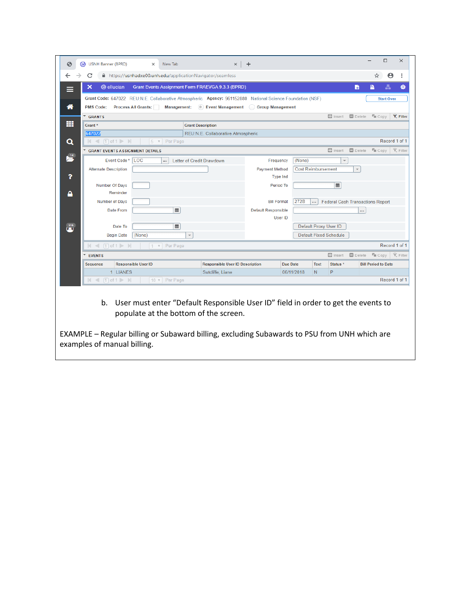| ☺               | <b>USNH Banner (BPRD)</b><br>ග | $\times$                               | New Tab                | $\times$                                                                                                                                                    | $\ddot{}$             |                           |             |                               |                                         | $\Box$                     | $\times$                   |
|-----------------|--------------------------------|----------------------------------------|------------------------|-------------------------------------------------------------------------------------------------------------------------------------------------------------|-----------------------|---------------------------|-------------|-------------------------------|-----------------------------------------|----------------------------|----------------------------|
| ←               | C                              |                                        |                        | A https://usnhadxe00.unh.edu/applicationNavigator/seamless                                                                                                  |                       |                           |             |                               |                                         | ☆                          | $\boldsymbol{\Theta}$<br>÷ |
|                 | $\boldsymbol{\mathsf{x}}$      | <b>@</b> ellucian                      |                        | Grant Events Assignment Form FRAEVGA 9.3.3 (BPRD)                                                                                                           |                       |                           |             |                               | B                                       | P                          | ₩<br>춃                     |
| $\equiv$        |                                |                                        |                        |                                                                                                                                                             |                       |                           |             |                               |                                         |                            |                            |
| ⋘               | <b>PMS Code:</b>               | <b>Process All Grants:</b>             |                        | Grant Code: 647022 REU:N.E. Collaborative Atmospheric Agency: 961152880 National Science Foundation (NSF)<br>Management: Devent Management Group Management |                       |                           |             |                               |                                         | <b>Start Over</b>          |                            |
|                 | GRANTS                         |                                        |                        |                                                                                                                                                             |                       |                           |             |                               | Insert <b>Delete To Copy</b>            |                            | <b>Y</b> . Filter          |
| m               | Grant *                        |                                        |                        | <b>Grant Description</b>                                                                                                                                    |                       |                           |             |                               |                                         |                            |                            |
|                 | 647022                         |                                        |                        | REU:N.E. Collaborative Atmospheric                                                                                                                          |                       |                           |             |                               |                                         |                            |                            |
| Q               |                                | $ $ < $ $ 0f 1 $ $                     | $5 \times$ Per Page    |                                                                                                                                                             |                       |                           |             |                               |                                         |                            | Record 1 of 1              |
|                 |                                | <b>GRANT EVENTS ASSIGNMENT DETAILS</b> |                        |                                                                                                                                                             |                       |                           |             | $\Box$ Insert                 | $\blacksquare$ Delete                   | $F_{\text{III}}$ Copy      | Y. Filter                  |
| $\frac{14}{2}$  |                                | LOC<br>Event Code*                     |                        | Letter of Credit Drawdown                                                                                                                                   | Frequency             | (None)                    |             | $\overline{\phantom{a}}$      |                                         |                            |                            |
|                 | <b>Alternate Description</b>   |                                        |                        |                                                                                                                                                             | <b>Payment Method</b> | <b>Cost Reimbursement</b> |             |                               | $\overline{\phantom{a}}$                |                            |                            |
| ?               |                                |                                        |                        |                                                                                                                                                             | <b>Type Ind</b>       |                           |             |                               |                                         |                            |                            |
|                 |                                | Number Of Days                         |                        |                                                                                                                                                             | Period To             |                           |             | 圖                             |                                         |                            |                            |
| A               |                                | Reminder                               |                        |                                                                                                                                                             |                       |                           |             |                               |                                         |                            |                            |
|                 |                                | Number of Days                         |                        |                                                                                                                                                             | <b>Bill Format</b>    | 272B                      | $\cdots$    |                               | <b>Federal Cash Transactions Report</b> |                            |                            |
|                 |                                | Date From                              | $\blacksquare$         |                                                                                                                                                             | Default Responsible   |                           |             |                               | $\cdots$                                |                            |                            |
|                 |                                |                                        |                        |                                                                                                                                                             | User ID               |                           |             |                               |                                         |                            |                            |
| $\overline{15}$ |                                | Date To                                | $\blacksquare$         |                                                                                                                                                             |                       |                           |             | Default Proxy User ID         |                                         |                            |                            |
|                 |                                | (None)<br><b>Begin Date</b>            |                        | $\overline{\phantom{a}}$                                                                                                                                    |                       |                           |             | <b>Default Fixed Schedule</b> |                                         |                            |                            |
|                 | $ $ $\le$ $ $ 1 of 1 $\ge$ $ $ |                                        | $ 1 \times  $ Per Page |                                                                                                                                                             |                       |                           |             |                               |                                         |                            | Record 1 of 1              |
|                 | <b>EVENTS</b>                  |                                        |                        |                                                                                                                                                             |                       |                           |             | $\Box$ Insert                 | Delete                                  | $T_{\text{III}}$ Copy      | Y. Filter                  |
|                 | Sequence                       | <b>Responsible User ID</b>             |                        | <b>Responsible User ID Description</b>                                                                                                                      |                       | <b>Due Date</b>           | <b>Text</b> | Status <sup>*</sup>           |                                         | <b>Bill Period to Date</b> |                            |
|                 |                                | 1 LIANES                               |                        | Sutcliffe, Liane                                                                                                                                            |                       | 06/11/2018                | N.          | P                             |                                         |                            |                            |
|                 | $\lnot$                        | $1$ of $1 \ge$<br>$\mathbb{N}$         | 10 v Per Page          |                                                                                                                                                             |                       |                           |             |                               |                                         |                            | Record 1 of 1              |
|                 | b.                             |                                        |                        | User must enter "Default Responsible User ID" field in order to get the events to<br>populate at the bottom of the screen.                                  |                       |                           |             |                               |                                         |                            |                            |

EXAMPLE – Regular billing or Subaward billing, excluding Subawards to PSU from UNH which are examples of manual billing.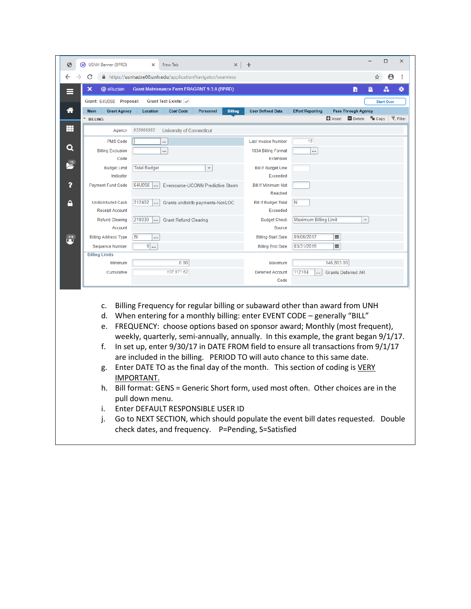|                               |                                   | ×                        | New Tab                                                  |                          | ×              | $\,{}^+$                                                                                                                                                                                                                                                                                                                                                                                                                                                                                          |                         |                                         |                                             |                         | $\Box$            |
|-------------------------------|-----------------------------------|--------------------------|----------------------------------------------------------|--------------------------|----------------|---------------------------------------------------------------------------------------------------------------------------------------------------------------------------------------------------------------------------------------------------------------------------------------------------------------------------------------------------------------------------------------------------------------------------------------------------------------------------------------------------|-------------------------|-----------------------------------------|---------------------------------------------|-------------------------|-------------------|
| C                             |                                   |                          | https://usnhadxe00.unh.edu/applicationNavigator/seamless |                          |                |                                                                                                                                                                                                                                                                                                                                                                                                                                                                                                   |                         |                                         |                                             |                         |                   |
| ×                             | <b>@</b> ellucian                 |                          | Grant Maintenance Form FRAGRNT 9.3.8 (BPRD)              |                          |                |                                                                                                                                                                                                                                                                                                                                                                                                                                                                                                   |                         |                                         | B                                           |                         | Ā                 |
|                               | Grant: 64U098 Proposal:           |                          | Grant Text Exists: v                                     |                          |                |                                                                                                                                                                                                                                                                                                                                                                                                                                                                                                   |                         |                                         |                                             |                         | <b>Start Over</b> |
| <b>Main</b><br><b>BILLING</b> | <b>Grant Agency</b>               | Location                 | <b>Cost Code</b>                                         | Personnel                | <b>Billing</b> | <b>User Defined Data</b>                                                                                                                                                                                                                                                                                                                                                                                                                                                                          | <b>Effort Reporting</b> | $\blacksquare$ Insert                   | <b>Pass Through Agency</b><br>$\Box$ Delete | $T_{\blacksquare}$ Copy | Y. Filter         |
|                               | Agency                            | 935966953                | <b>University of Connecticut</b>                         |                          |                |                                                                                                                                                                                                                                                                                                                                                                                                                                                                                                   |                         |                                         |                                             |                         |                   |
|                               | <b>PMS Code</b>                   |                          |                                                          |                          |                | <b>Last Invoice Number</b>                                                                                                                                                                                                                                                                                                                                                                                                                                                                        | 15                      |                                         |                                             |                         |                   |
|                               | <b>Billing Exclusion</b>          |                          | <br>                                                     |                          |                | 1034 Billing Format                                                                                                                                                                                                                                                                                                                                                                                                                                                                               | $\cdots$                |                                         |                                             |                         |                   |
|                               | Code                              |                          |                                                          |                          |                | Extension                                                                                                                                                                                                                                                                                                                                                                                                                                                                                         |                         |                                         |                                             |                         |                   |
|                               | <b>Budget Limit</b>               | <b>Total Budget</b>      |                                                          | $\overline{\phantom{a}}$ |                | <b>Bill If Budget Line</b>                                                                                                                                                                                                                                                                                                                                                                                                                                                                        |                         |                                         |                                             |                         |                   |
|                               | Indicator                         |                          |                                                          |                          |                | Exceeded                                                                                                                                                                                                                                                                                                                                                                                                                                                                                          |                         |                                         |                                             |                         |                   |
| <b>Payment Fund Code</b>      |                                   | 64U098                   | Eversource-UCONN Predictive Storm                        |                          |                | <b>Bill If Minimum Not</b><br>Reached                                                                                                                                                                                                                                                                                                                                                                                                                                                             |                         |                                         |                                             |                         |                   |
|                               | <b>Undistributed Cash</b>         | 212402                   | Grants undistrib payments-NonLOC                         |                          |                | <b>Bill If Budget Total</b>                                                                                                                                                                                                                                                                                                                                                                                                                                                                       | N                       |                                         |                                             |                         |                   |
|                               | <b>Receipt Account</b>            | 210030                   |                                                          |                          |                | Exceeded                                                                                                                                                                                                                                                                                                                                                                                                                                                                                          | Maximum Billing Limit   |                                         | $\overline{\phantom{a}}$                    |                         |                   |
|                               | <b>Refund Clearing</b><br>Account | $\overline{\phantom{a}}$ | <b>Grant Refund Clearing</b>                             |                          |                | <b>Budget Check</b><br>Source                                                                                                                                                                                                                                                                                                                                                                                                                                                                     |                         |                                         |                                             |                         |                   |
| <b>Billing Address Type</b>   | <b>BI</b>                         | $\cdots$                 |                                                          |                          |                | <b>Billing Start Date</b>                                                                                                                                                                                                                                                                                                                                                                                                                                                                         | 09/06/2017              | $\blacksquare$                          |                                             |                         |                   |
|                               | <b>Sequence Number</b>            | $9$                      |                                                          |                          |                | <b>Billing End Date</b>                                                                                                                                                                                                                                                                                                                                                                                                                                                                           | 03/31/2019              | $\blacksquare$                          |                                             |                         |                   |
| <b>Billing Limits</b>         |                                   |                          |                                                          |                          |                |                                                                                                                                                                                                                                                                                                                                                                                                                                                                                                   |                         |                                         |                                             |                         |                   |
|                               | Minimum<br>Cumulative             |                          | 0.00<br>107,971.62                                       |                          |                | Maximum<br><b>Deferred Account</b>                                                                                                                                                                                                                                                                                                                                                                                                                                                                | 112104                  | 146,803.00<br><b>Grants Deferred AR</b> |                                             |                         |                   |
|                               |                                   |                          |                                                          |                          |                | Code                                                                                                                                                                                                                                                                                                                                                                                                                                                                                              |                         |                                         |                                             |                         |                   |
|                               |                                   |                          |                                                          |                          |                |                                                                                                                                                                                                                                                                                                                                                                                                                                                                                                   |                         |                                         |                                             |                         |                   |
| c.<br>d.<br>e.<br>f.          |                                   |                          |                                                          |                          |                | Billing Frequency for regular billing or subaward other than award from UNH<br>When entering for a monthly billing: enter EVENT CODE - generally "BILL"<br>FREQUENCY: choose options based on sponsor award; Monthly (most frequent),<br>weekly, quarterly, semi-annually, annually. In this example, the grant began 9/1/17.<br>In set up, enter 9/30/17 in DATE FROM field to ensure all transactions from 9/1/17<br>are included in the billing. PERIOD TO will auto chance to this same date. |                         |                                         |                                             |                         |                   |
| g.                            | IMPORTANT.                        |                          |                                                          |                          |                | Enter DATE TO as the final day of the month. This section of coding is VERY                                                                                                                                                                                                                                                                                                                                                                                                                       |                         |                                         |                                             |                         |                   |
| h.                            |                                   | pull down menu.          |                                                          |                          |                | Bill format: GENS = Generic Short form, used most often. Other choices are in the                                                                                                                                                                                                                                                                                                                                                                                                                 |                         |                                         |                                             |                         |                   |
| i.                            |                                   |                          | Enter DEFAULT RESPONSIBLE USER ID                        |                          |                |                                                                                                                                                                                                                                                                                                                                                                                                                                                                                                   |                         |                                         |                                             |                         |                   |